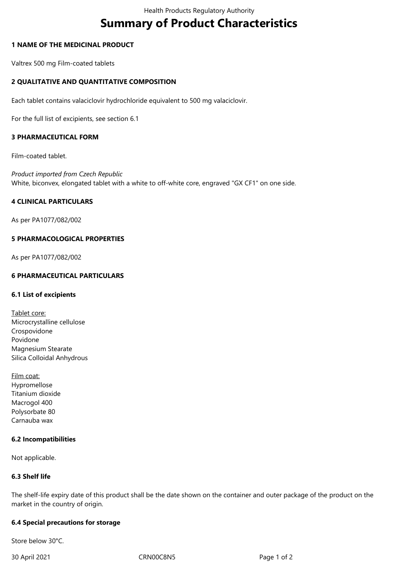# **Summary of Product Characteristics**

# **1 NAME OF THE MEDICINAL PRODUCT**

Valtrex 500 mg Film-coated tablets

# **2 QUALITATIVE AND QUANTITATIVE COMPOSITION**

Each tablet contains valaciclovir hydrochloride equivalent to 500 mg valaciclovir.

For the full list of excipients, see section 6.1

# **3 PHARMACEUTICAL FORM**

Film-coated tablet.

*Product imported from Czech Republic* White, biconvex, elongated tablet with a white to off-white core, engraved "GX CF1" on one side.

# **4 CLINICAL PARTICULARS**

As per PA1077/082/002

# **5 PHARMACOLOGICAL PROPERTIES**

As per PA1077/082/002

# **6 PHARMACEUTICAL PARTICULARS**

## **6.1 List of excipients**

- Tablet core: Microcrystalline cellulose Crospovidone Povidone Magnesium Stearate Silica Colloidal Anhydrous
- Film coat: Hypromellose Titanium dioxide Macrogol 400 Polysorbate 80 Carnauba wax

## **6.2 Incompatibilities**

Not applicable.

# **6.3 Shelf life**

The shelf-life expiry date of this product shall be the date shown on the container and outer package of the product on the market in the country of origin.

## **6.4 Special precautions for storage**

Store below 30°C.

30 April 2021 CRN00C8N5 Page 1 of 2